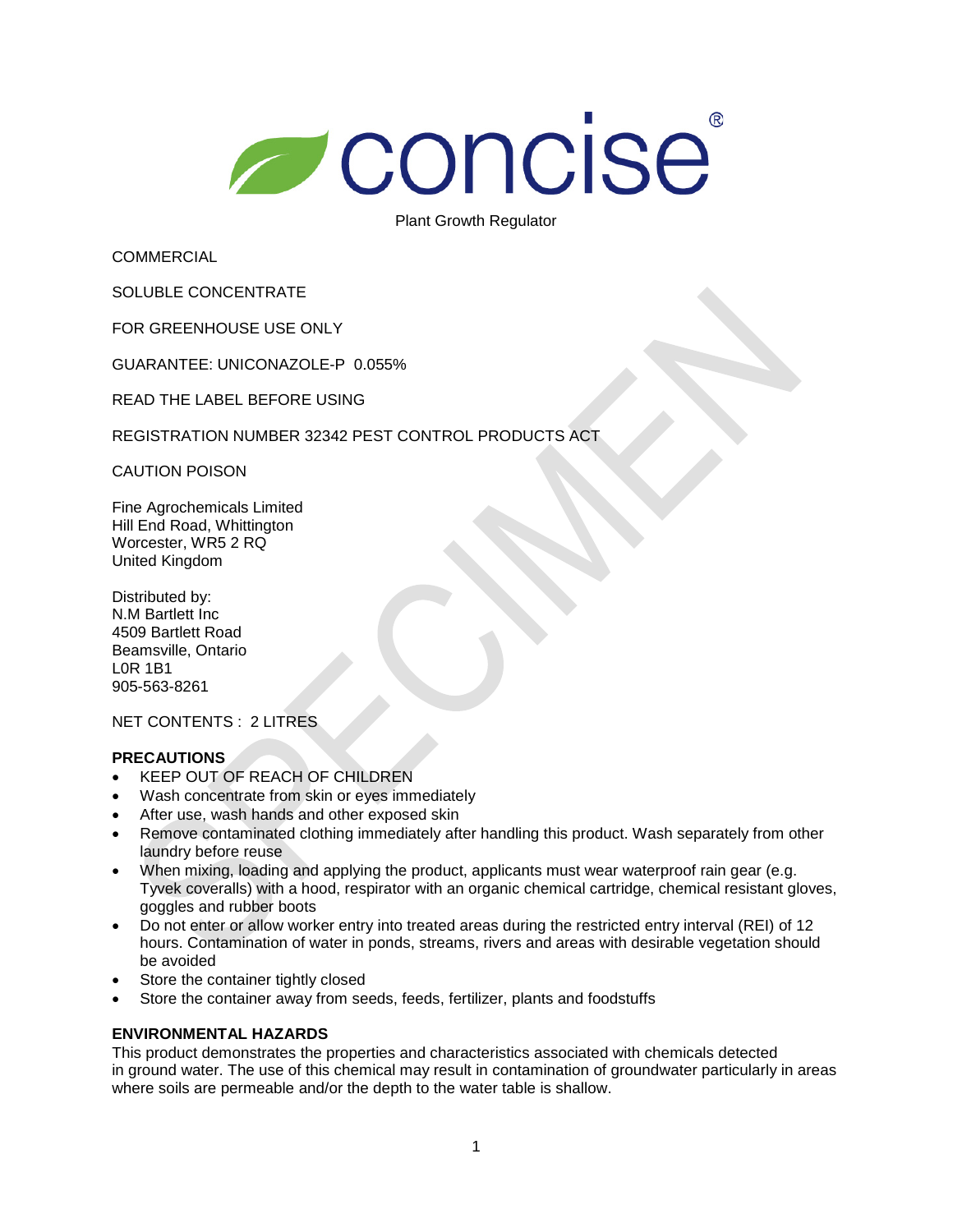# **Concise**

Plant Growth Regulator

**COMMERCIAL** 

SOLUBLE CONCENTRATE

FOR GREENHOUSE USE ONLY

GUARANTEE: UNICONAZOLE-P 0.055%

READ THE LABEL BEFORE USING

REGISTRATION NUMBER 32342 PEST CONTROL PRODUCTS ACT

CAUTION POISON

Fine Agrochemicals Limited Hill End Road, Whittington Worcester, WR5 2 RQ United Kingdom

Distributed by: N.M Bartlett Inc 4509 Bartlett Road Beamsville, Ontario L0R 1B1 905-563-8261

NET CONTENTS : 2 LITRES

### **PRECAUTIONS**

- KEEP OUT OF REACH OF CHILDREN
- Wash concentrate from skin or eyes immediately
- After use, wash hands and other exposed skin
- Remove contaminated clothing immediately after handling this product. Wash separately from other laundry before reuse
- When mixing, loading and applying the product, applicants must wear waterproof rain gear (e.g. Tyvek coveralls) with a hood, respirator with an organic chemical cartridge, chemical resistant gloves, goggles and rubber boots
- Do not enter or allow worker entry into treated areas during the restricted entry interval (REI) of 12 hours. Contamination of water in ponds, streams, rivers and areas with desirable vegetation should be avoided
- Store the container tightly closed
- Store the container away from seeds, feeds, fertilizer, plants and foodstuffs

# **ENVIRONMENTAL HAZARDS**

This product demonstrates the properties and characteristics associated with chemicals detected in ground water. The use of this chemical may result in contamination of groundwater particularly in areas where soils are permeable and/or the depth to the water table is shallow.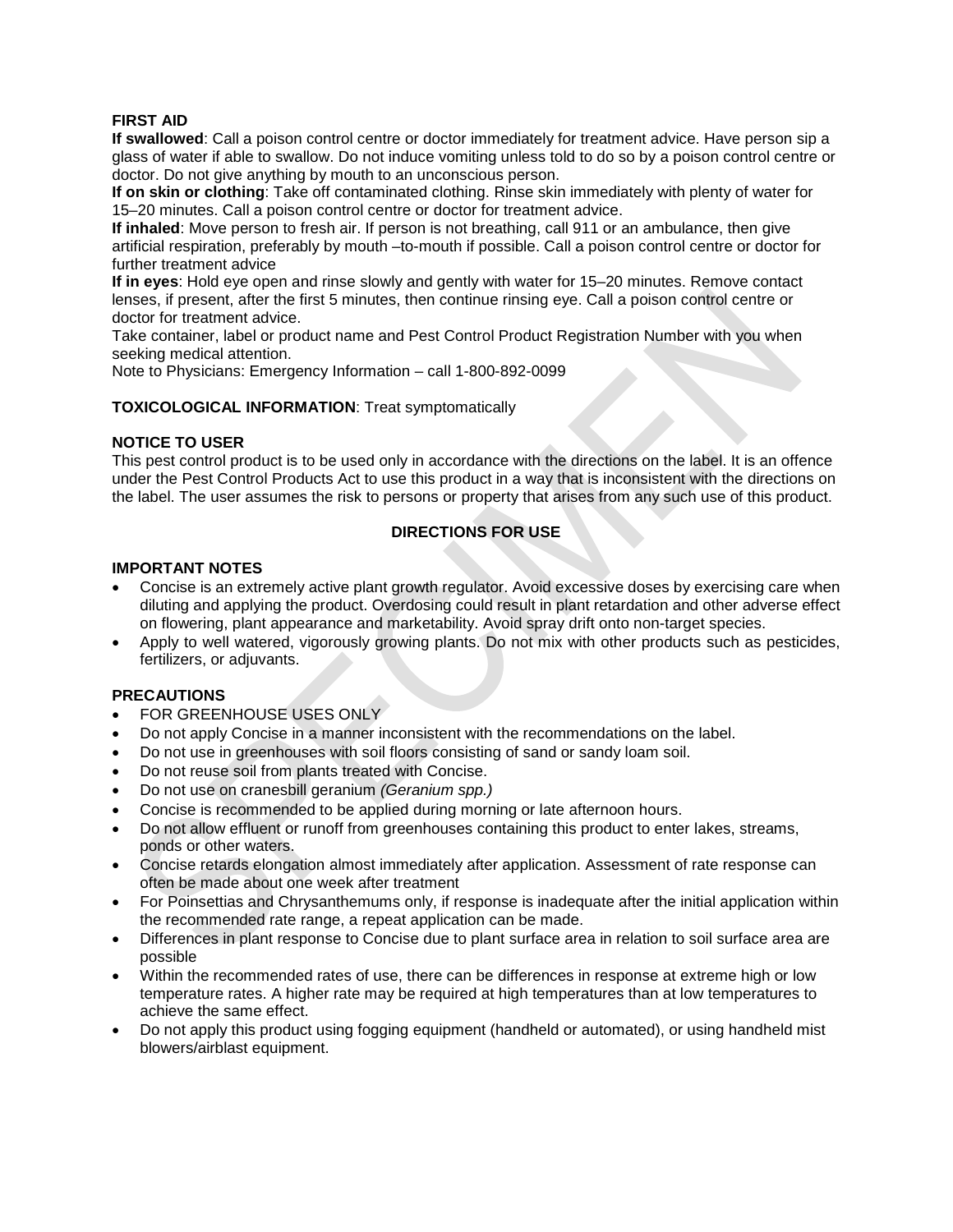## **FIRST AID**

**If swallowed**: Call a poison control centre or doctor immediately for treatment advice. Have person sip a glass of water if able to swallow. Do not induce vomiting unless told to do so by a poison control centre or doctor. Do not give anything by mouth to an unconscious person.

**If on skin or clothing**: Take off contaminated clothing. Rinse skin immediately with plenty of water for 15–20 minutes. Call a poison control centre or doctor for treatment advice.

**If inhaled**: Move person to fresh air. If person is not breathing, call 911 or an ambulance, then give artificial respiration, preferably by mouth –to-mouth if possible. Call a poison control centre or doctor for further treatment advice

**If in eyes**: Hold eye open and rinse slowly and gently with water for 15–20 minutes. Remove contact lenses, if present, after the first 5 minutes, then continue rinsing eye. Call a poison control centre or doctor for treatment advice.

Take container, label or product name and Pest Control Product Registration Number with you when seeking medical attention.

Note to Physicians: Emergency Information – call 1-800-892-0099

### **TOXICOLOGICAL INFORMATION**: Treat symptomatically

### **NOTICE TO USER**

This pest control product is to be used only in accordance with the directions on the label. It is an offence under the Pest Control Products Act to use this product in a way that is inconsistent with the directions on the label. The user assumes the risk to persons or property that arises from any such use of this product.

# **DIRECTIONS FOR USE**

### **IMPORTANT NOTES**

- Concise is an extremely active plant growth regulator. Avoid excessive doses by exercising care when diluting and applying the product. Overdosing could result in plant retardation and other adverse effect on flowering, plant appearance and marketability. Avoid spray drift onto non-target species.
- Apply to well watered, vigorously growing plants. Do not mix with other products such as pesticides, fertilizers, or adjuvants.

### **PRECAUTIONS**

- FOR GREENHOUSE USES ONLY
- Do not apply Concise in a manner inconsistent with the recommendations on the label.
- Do not use in greenhouses with soil floors consisting of sand or sandy loam soil.
- Do not reuse soil from plants treated with Concise.
- Do not use on cranesbill geranium *(Geranium spp.)*
- Concise is recommended to be applied during morning or late afternoon hours.
- Do not allow effluent or runoff from greenhouses containing this product to enter lakes, streams, ponds or other waters.
- Concise retards elongation almost immediately after application. Assessment of rate response can often be made about one week after treatment
- For Poinsettias and Chrysanthemums only, if response is inadequate after the initial application within the recommended rate range, a repeat application can be made.
- Differences in plant response to Concise due to plant surface area in relation to soil surface area are possible
- Within the recommended rates of use, there can be differences in response at extreme high or low temperature rates. A higher rate may be required at high temperatures than at low temperatures to achieve the same effect.
- Do not apply this product using fogging equipment (handheld or automated), or using handheld mist blowers/airblast equipment.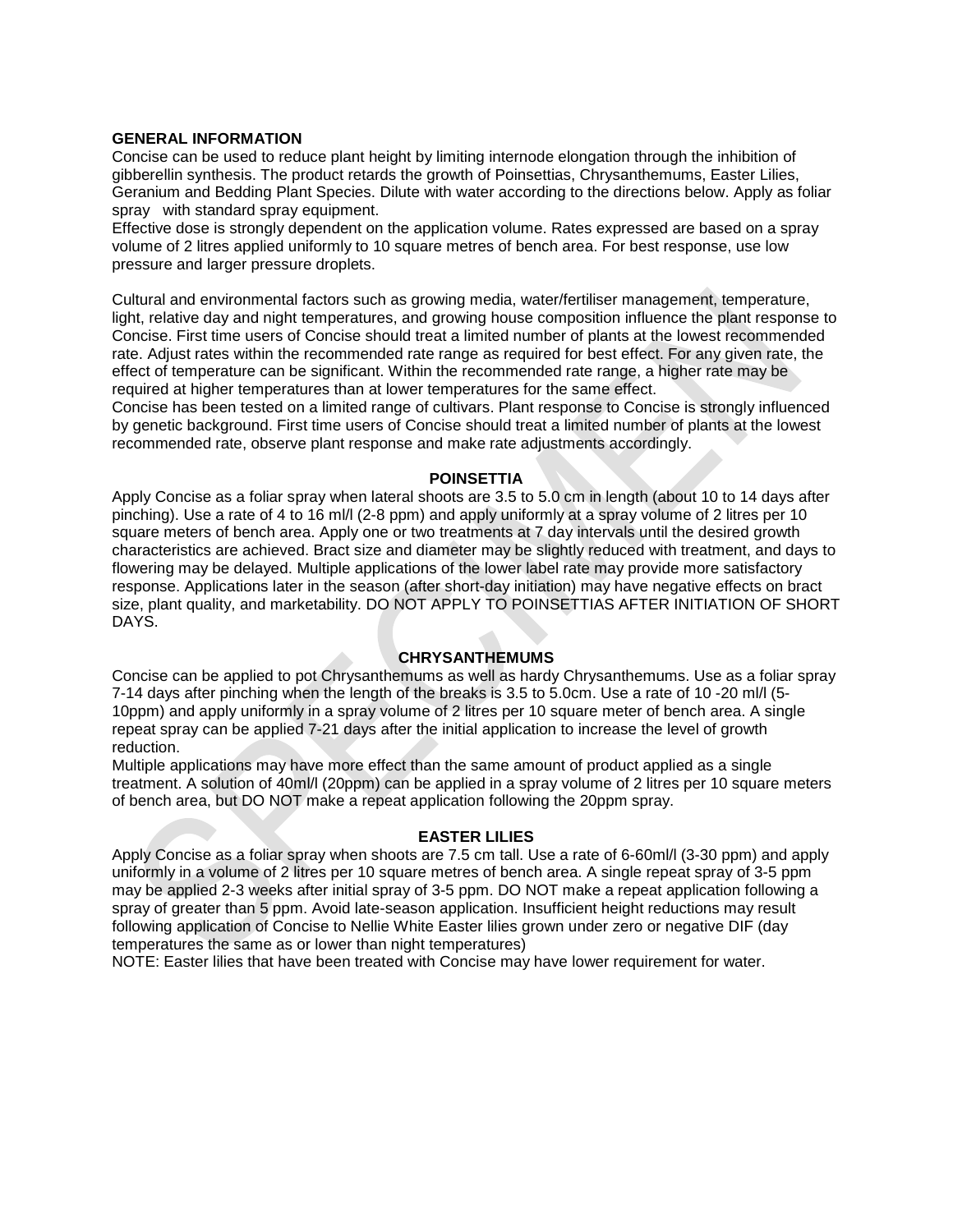### **GENERAL INFORMATION**

Concise can be used to reduce plant height by limiting internode elongation through the inhibition of gibberellin synthesis. The product retards the growth of Poinsettias, Chrysanthemums, Easter Lilies, Geranium and Bedding Plant Species. Dilute with water according to the directions below. Apply as foliar spray with standard spray equipment.

Effective dose is strongly dependent on the application volume. Rates expressed are based on a spray volume of 2 litres applied uniformly to 10 square metres of bench area. For best response, use low pressure and larger pressure droplets.

Cultural and environmental factors such as growing media, water/fertiliser management, temperature, light, relative day and night temperatures, and growing house composition influence the plant response to Concise. First time users of Concise should treat a limited number of plants at the lowest recommended rate. Adjust rates within the recommended rate range as required for best effect. For any given rate, the effect of temperature can be significant. Within the recommended rate range, a higher rate may be required at higher temperatures than at lower temperatures for the same effect.

Concise has been tested on a limited range of cultivars. Plant response to Concise is strongly influenced by genetic background. First time users of Concise should treat a limited number of plants at the lowest recommended rate, observe plant response and make rate adjustments accordingly.

### **POINSETTIA**

Apply Concise as a foliar spray when lateral shoots are 3.5 to 5.0 cm in length (about 10 to 14 days after pinching). Use a rate of 4 to 16 ml/l (2-8 ppm) and apply uniformly at a spray volume of 2 litres per 10 square meters of bench area. Apply one or two treatments at 7 day intervals until the desired growth characteristics are achieved. Bract size and diameter may be slightly reduced with treatment, and days to flowering may be delayed. Multiple applications of the lower label rate may provide more satisfactory response. Applications later in the season (after short-day initiation) may have negative effects on bract size, plant quality, and marketability. DO NOT APPLY TO POINSETTIAS AFTER INITIATION OF SHORT DAYS.

### **CHRYSANTHEMUMS**

Concise can be applied to pot Chrysanthemums as well as hardy Chrysanthemums. Use as a foliar spray 7-14 days after pinching when the length of the breaks is 3.5 to 5.0cm. Use a rate of 10 -20 ml/l (5- 10ppm) and apply uniformly in a spray volume of 2 litres per 10 square meter of bench area. A single repeat spray can be applied 7-21 days after the initial application to increase the level of growth reduction.

Multiple applications may have more effect than the same amount of product applied as a single treatment. A solution of 40ml/l (20ppm) can be applied in a spray volume of 2 litres per 10 square meters of bench area, but DO NOT make a repeat application following the 20ppm spray.

### **EASTER LILIES**

Apply Concise as a foliar spray when shoots are 7.5 cm tall. Use a rate of 6-60ml/l (3-30 ppm) and apply uniformly in a volume of 2 litres per 10 square metres of bench area. A single repeat spray of 3-5 ppm may be applied 2-3 weeks after initial spray of 3-5 ppm. DO NOT make a repeat application following a spray of greater than 5 ppm. Avoid late-season application. Insufficient height reductions may result following application of Concise to Nellie White Easter lilies grown under zero or negative DIF (day temperatures the same as or lower than night temperatures)

NOTE: Easter lilies that have been treated with Concise may have lower requirement for water.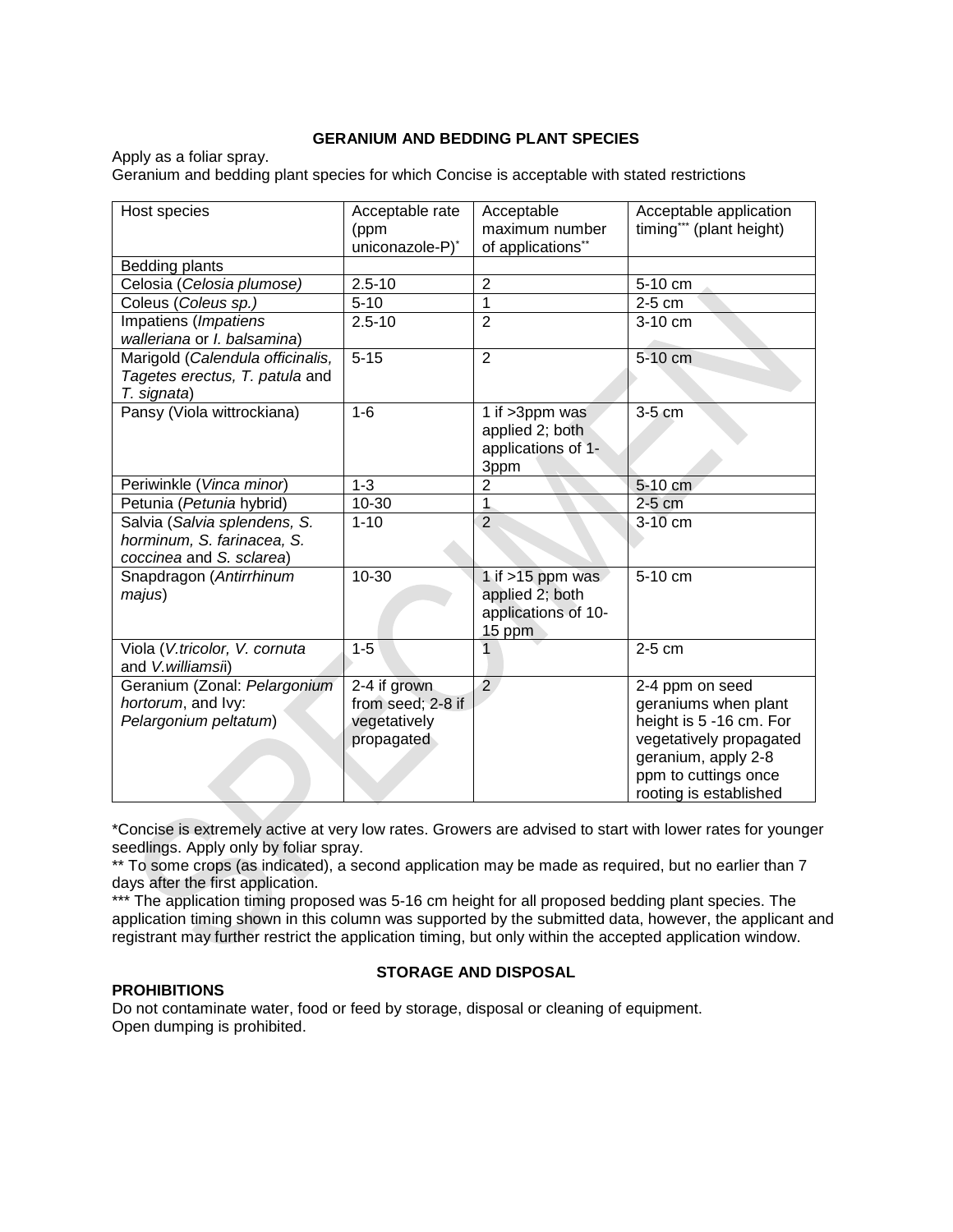### **GERANIUM AND BEDDING PLANT SPECIES**

Apply as a foliar spray. Geranium and bedding plant species for which Concise is acceptable with stated restrictions

| Host species                     | Acceptable rate   | Acceptable          | Acceptable application   |
|----------------------------------|-------------------|---------------------|--------------------------|
|                                  | (ppm              | maximum number      | timing*** (plant height) |
|                                  | uniconazole-P)*   | of applications**   |                          |
| Bedding plants                   |                   |                     |                          |
| Celosia (Celosia plumose)        | $2.5 - 10$        | $\overline{2}$      | 5-10 cm                  |
| Coleus (Coleus sp.)              | $5 - 10$          | 1                   | 2-5 cm                   |
| Impatiens (Impatiens             | $2.5 - 10$        | $\overline{2}$      | 3-10 cm                  |
| walleriana or I. balsamina)      |                   |                     |                          |
| Marigold (Calendula officinalis, | $5 - 15$          | $\overline{2}$      | 5-10 cm                  |
| Tagetes erectus, T. patula and   |                   |                     |                          |
| T. signata)                      |                   |                     |                          |
| Pansy (Viola wittrockiana)       | $1-6$             | 1 if >3ppm was      | 3-5 cm                   |
|                                  |                   | applied 2; both     |                          |
|                                  |                   | applications of 1-  |                          |
|                                  |                   | 3ppm                |                          |
| Periwinkle (Vinca minor)         | $1 - 3$           | $\overline{2}$      | 5-10 cm                  |
| Petunia (Petunia hybrid)         | 10-30             | $\mathbf{1}$        | 2-5 cm                   |
| Salvia (Salvia splendens, S.     | $1 - 10$          | $\overline{2}$      | 3-10 cm                  |
| horminum, S. farinacea, S.       |                   |                     |                          |
| coccinea and S. sclarea)         |                   |                     |                          |
| Snapdragon (Antirrhinum          | 10-30             | 1 if $>15$ ppm was  | 5-10 cm                  |
| majus)                           |                   | applied 2; both     |                          |
|                                  |                   | applications of 10- |                          |
|                                  |                   | 15 ppm              |                          |
| Viola (V.tricolor, V. cornuta    | $1 - 5$           |                     | 2-5 cm                   |
| and V.williamsii)                |                   |                     |                          |
| Geranium (Zonal: Pelargonium     | 2-4 if grown      | $\overline{2}$      | 2-4 ppm on seed          |
| hortorum, and Ivy:               | from seed; 2-8 if |                     | geraniums when plant     |
| Pelargonium peltatum)            | vegetatively      |                     | height is 5 -16 cm. For  |
|                                  | propagated        |                     | vegetatively propagated  |
|                                  |                   |                     | geranium, apply 2-8      |
|                                  |                   |                     | ppm to cuttings once     |
|                                  |                   |                     | rooting is established   |
|                                  |                   |                     |                          |

\*Concise is extremely active at very low rates. Growers are advised to start with lower rates for younger seedlings. Apply only by foliar spray.

\*\* To some crops (as indicated), a second application may be made as required, but no earlier than 7 days after the first application.

\*\*\* The application timing proposed was 5-16 cm height for all proposed bedding plant species. The application timing shown in this column was supported by the submitted data, however, the applicant and registrant may further restrict the application timing, but only within the accepted application window.

### **PROHIBITIONS**

# **STORAGE AND DISPOSAL**

Do not contaminate water, food or feed by storage, disposal or cleaning of equipment. Open dumping is prohibited.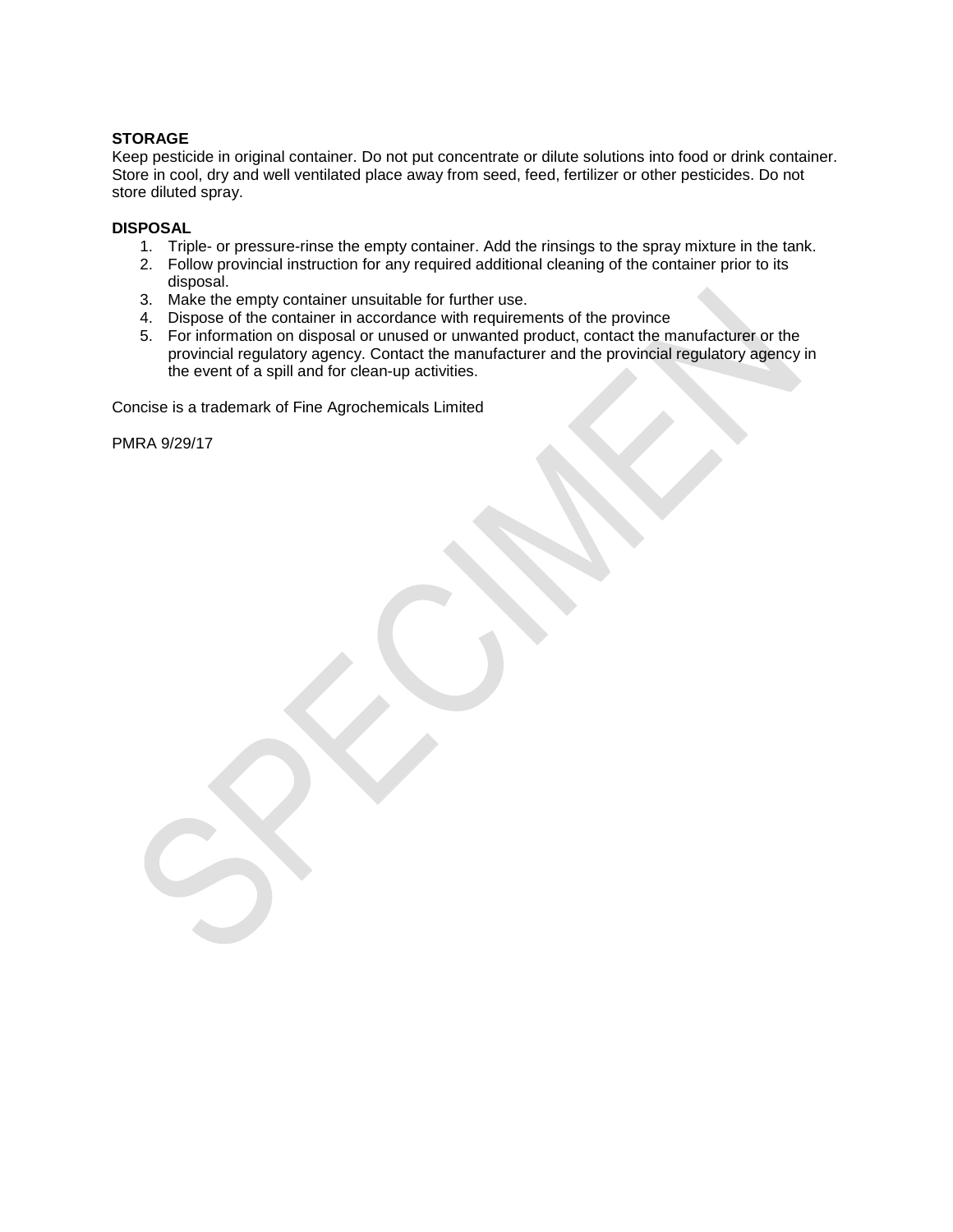# **STORAGE**

Keep pesticide in original container. Do not put concentrate or dilute solutions into food or drink container. Store in cool, dry and well ventilated place away from seed, feed, fertilizer or other pesticides. Do not store diluted spray.

### **DISPOSAL**

- 1. Triple- or pressure-rinse the empty container. Add the rinsings to the spray mixture in the tank.
- 2. Follow provincial instruction for any required additional cleaning of the container prior to its disposal.
- 3. Make the empty container unsuitable for further use.
- 4. Dispose of the container in accordance with requirements of the province
- 5. For information on disposal or unused or unwanted product, contact the manufacturer or the provincial regulatory agency. Contact the manufacturer and the provincial regulatory agency in the event of a spill and for clean-up activities.

Concise is a trademark of Fine Agrochemicals Limited

PMRA 9/29/17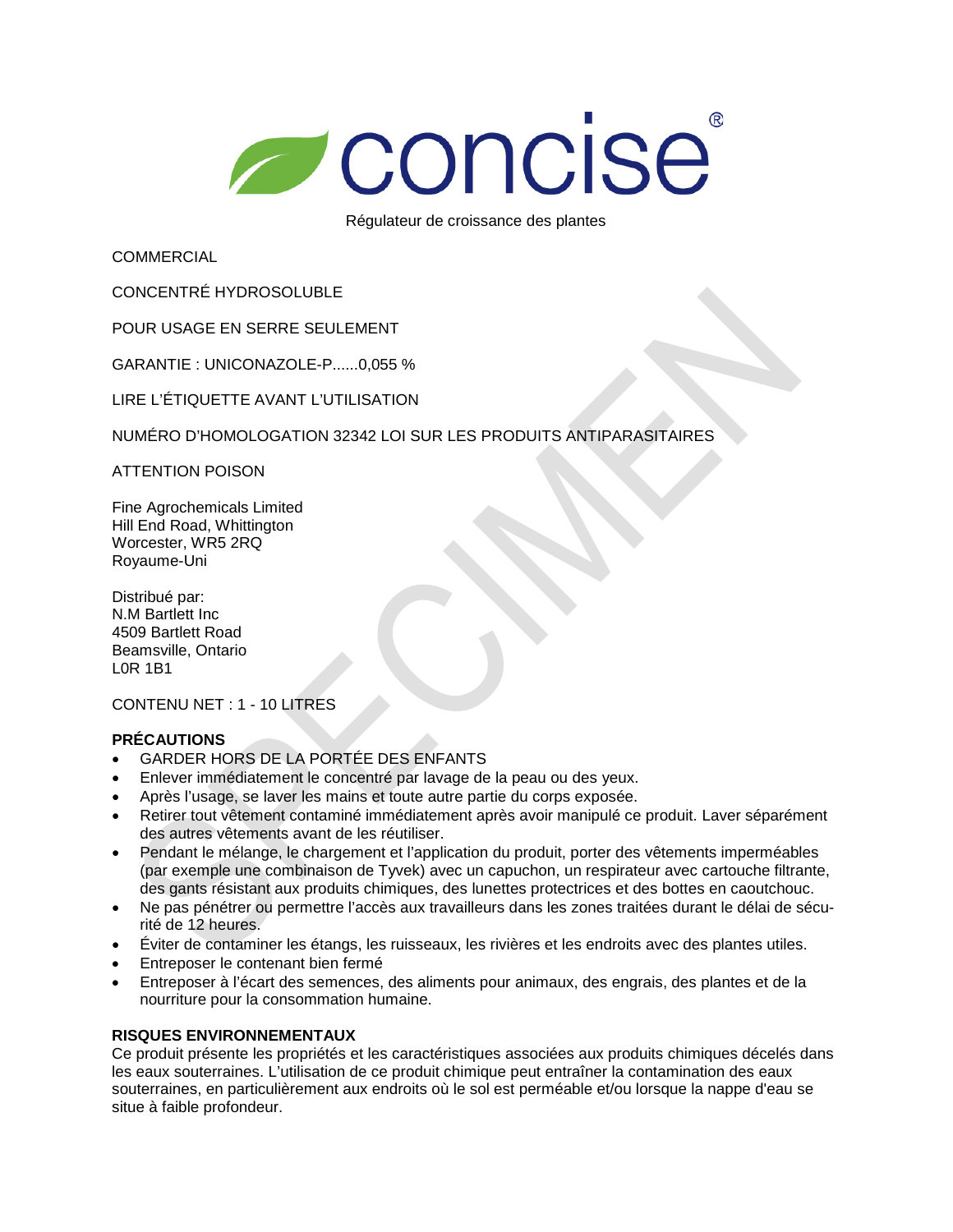# Concise

Régulateur de croissance des plantes

**COMMERCIAL** 

CONCENTRÉ HYDROSOLUBLE

POUR USAGE EN SERRE SEULEMENT

GARANTIE : UNICONAZOLE-P......0,055 %

LIRE L'ÉTIQUETTE AVANT L'UTILISATION

NUMÉRO D'HOMOLOGATION 32342 LOI SUR LES PRODUITS ANTIPARASITAIRES

ATTENTION POISON

Fine Agrochemicals Limited Hill End Road, Whittington Worcester, WR5 2RQ Royaume-Uni

Distribué par: N.M Bartlett Inc 4509 Bartlett Road Beamsville, Ontario L0R 1B1

CONTENU NET : 1 - 10 LITRES

# **PRÉCAUTIONS**

- GARDER HORS DE LA PORTÉE DES ENFANTS
- Enlever immédiatement le concentré par lavage de la peau ou des yeux.
- Après l'usage, se laver les mains et toute autre partie du corps exposée.
- Retirer tout vêtement contaminé immédiatement après avoir manipulé ce produit. Laver séparément des autres vêtements avant de les réutiliser.
- Pendant le mélange, le chargement et l'application du produit, porter des vêtements imperméables (par exemple une combinaison de Tyvek) avec un capuchon, un respirateur avec cartouche filtrante, des gants résistant aux produits chimiques, des lunettes protectrices et des bottes en caoutchouc.
- Ne pas pénétrer ou permettre l'accès aux travailleurs dans les zones traitées durant le délai de sécurité de 12 heures.
- Éviter de contaminer les étangs, les ruisseaux, les rivières et les endroits avec des plantes utiles.
- Entreposer le contenant bien fermé
- Entreposer à l'écart des semences, des aliments pour animaux, des engrais, des plantes et de la nourriture pour la consommation humaine.

# **RISQUES ENVIRONNEMENTAUX**

Ce produit présente les propriétés et les caractéristiques associées aux produits chimiques décelés dans les eaux souterraines. L'utilisation de ce produit chimique peut entraîner la contamination des eaux souterraines, en particulièrement aux endroits où le sol est perméable et/ou lorsque la nappe d'eau se situe à faible profondeur.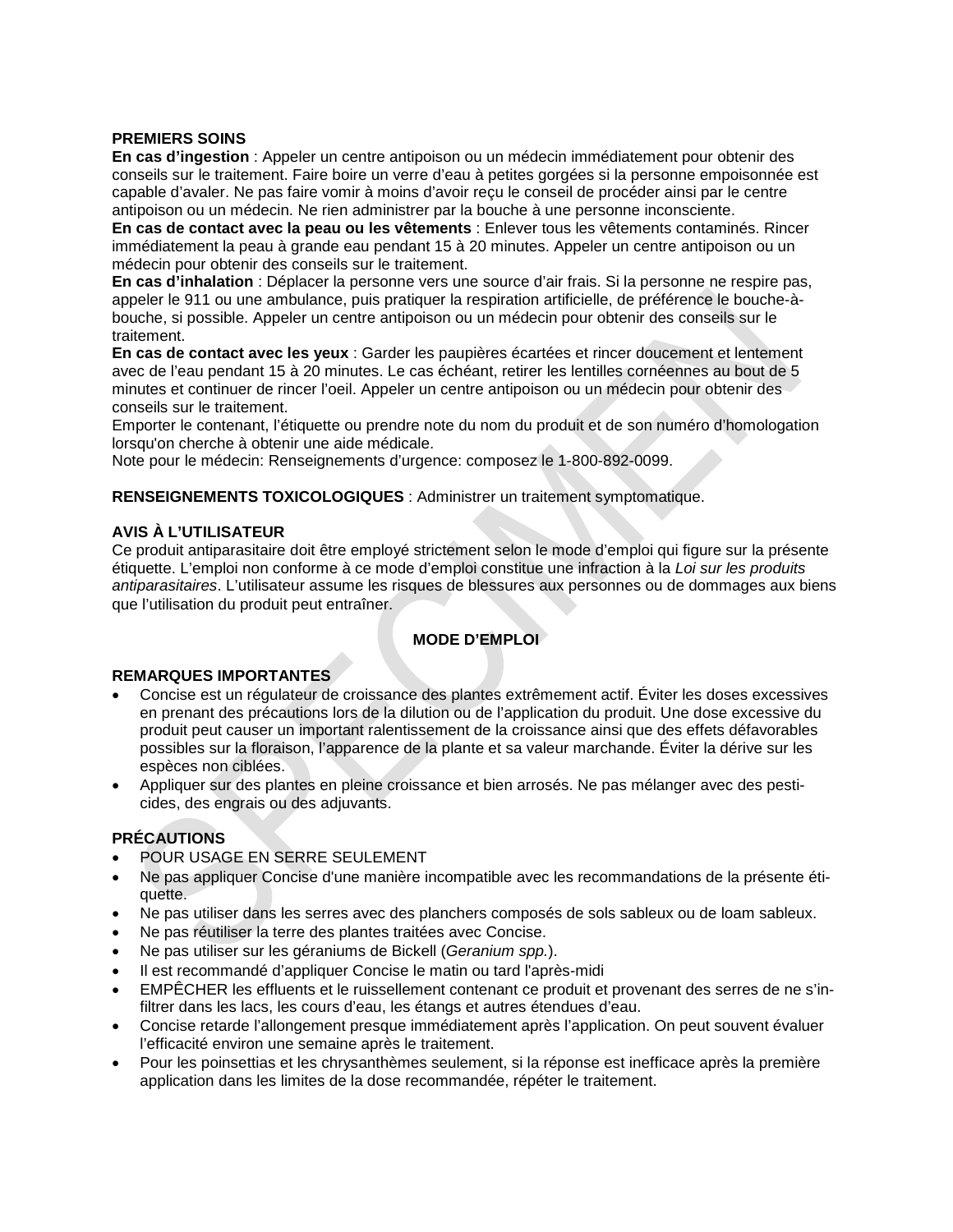### **PREMIERS SOINS**

**En cas d'ingestion** : Appeler un centre antipoison ou un médecin immédiatement pour obtenir des conseils sur le traitement. Faire boire un verre d'eau à petites gorgées si la personne empoisonnée est capable d'avaler. Ne pas faire vomir à moins d'avoir reçu le conseil de procéder ainsi par le centre antipoison ou un médecin. Ne rien administrer par la bouche à une personne inconsciente.

**En cas de contact avec la peau ou les vêtements** : Enlever tous les vêtements contaminés. Rincer immédiatement la peau à grande eau pendant 15 à 20 minutes. Appeler un centre antipoison ou un médecin pour obtenir des conseils sur le traitement.

**En cas d'inhalation** : Déplacer la personne vers une source d'air frais. Si la personne ne respire pas, appeler le 911 ou une ambulance, puis pratiquer la respiration artificielle, de préférence le bouche-àbouche, si possible. Appeler un centre antipoison ou un médecin pour obtenir des conseils sur le traitement.

**En cas de contact avec les yeux** : Garder les paupières écartées et rincer doucement et lentement avec de l'eau pendant 15 à 20 minutes. Le cas échéant, retirer les lentilles cornéennes au bout de 5 minutes et continuer de rincer l'oeil. Appeler un centre antipoison ou un médecin pour obtenir des conseils sur le traitement.

Emporter le contenant, l'étiquette ou prendre note du nom du produit et de son numéro d'homologation lorsqu'on cherche à obtenir une aide médicale.

Note pour le médecin: Renseignements d'urgence: composez le 1-800-892-0099.

**RENSEIGNEMENTS TOXICOLOGIQUES** : Administrer un traitement symptomatique.

### **AVIS À L'UTILISATEUR**

Ce produit antiparasitaire doit être employé strictement selon le mode d'emploi qui figure sur la présente étiquette. L'emploi non conforme à ce mode d'emploi constitue une infraction à la *Loi sur les produits antiparasitaires*. L'utilisateur assume les risques de blessures aux personnes ou de dommages aux biens que l'utilisation du produit peut entraîner.

# **MODE D'EMPLOI**

# **REMARQUES IMPORTANTES**

- Concise est un régulateur de croissance des plantes extrêmement actif. Éviter les doses excessives en prenant des précautions lors de la dilution ou de l'application du produit. Une dose excessive du produit peut causer un important ralentissement de la croissance ainsi que des effets défavorables possibles sur la floraison, l'apparence de la plante et sa valeur marchande. Éviter la dérive sur les espèces non ciblées.
- Appliquer sur des plantes en pleine croissance et bien arrosés. Ne pas mélanger avec des pesticides, des engrais ou des adjuvants.

# **PRÉCAUTIONS**

- POUR USAGE EN SERRE SEULEMENT
- Ne pas appliquer Concise d'une manière incompatible avec les recommandations de la présente étiquette.
- Ne pas utiliser dans les serres avec des planchers composés de sols sableux ou de loam sableux.
- Ne pas réutiliser la terre des plantes traitées avec Concise.
- Ne pas utiliser sur les géraniums de Bickell (*Geranium spp.*).
- Il est recommandé d'appliquer Concise le matin ou tard l'après-midi
- EMPÊCHER les effluents et le ruissellement contenant ce produit et provenant des serres de ne s'infiltrer dans les lacs, les cours d'eau, les étangs et autres étendues d'eau.
- Concise retarde l'allongement presque immédiatement après l'application. On peut souvent évaluer l'efficacité environ une semaine après le traitement.
- Pour les poinsettias et les chrysanthèmes seulement, si la réponse est inefficace après la première application dans les limites de la dose recommandée, répéter le traitement.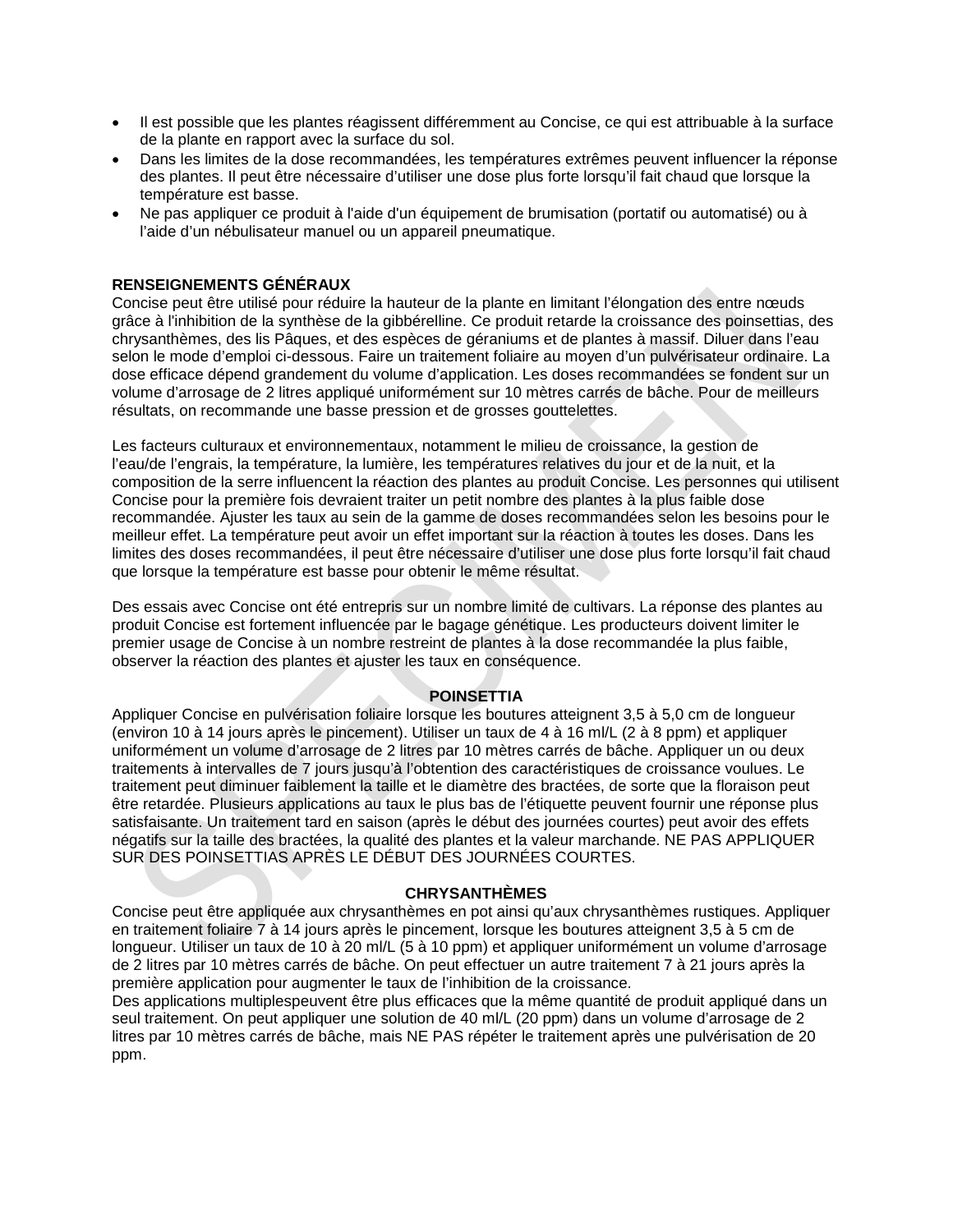- Il est possible que les plantes réagissent différemment au Concise, ce qui est attribuable à la surface de la plante en rapport avec la surface du sol.
- Dans les limites de la dose recommandées, les températures extrêmes peuvent influencer la réponse des plantes. Il peut être nécessaire d'utiliser une dose plus forte lorsqu'il fait chaud que lorsque la température est basse.
- Ne pas appliquer ce produit à l'aide d'un équipement de brumisation (portatif ou automatisé) ou à l'aide d'un nébulisateur manuel ou un appareil pneumatique.

### **RENSEIGNEMENTS GÉNÉRAUX**

Concise peut être utilisé pour réduire la hauteur de la plante en limitant l'élongation des entre nœuds grâce à l'inhibition de la synthèse de la gibbérelline. Ce produit retarde la croissance des poinsettias, des chrysanthèmes, des lis Pâques, et des espèces de géraniums et de plantes à massif. Diluer dans l'eau selon le mode d'emploi ci-dessous. Faire un traitement foliaire au moyen d'un pulvérisateur ordinaire. La dose efficace dépend grandement du volume d'application. Les doses recommandées se fondent sur un volume d'arrosage de 2 litres appliqué uniformément sur 10 mètres carrés de bâche. Pour de meilleurs résultats, on recommande une basse pression et de grosses gouttelettes.

Les facteurs culturaux et environnementaux, notamment le milieu de croissance, la gestion de l'eau/de l'engrais, la température, la lumière, les températures relatives du jour et de la nuit, et la composition de la serre influencent la réaction des plantes au produit Concise. Les personnes qui utilisent Concise pour la première fois devraient traiter un petit nombre des plantes à la plus faible dose recommandée. Ajuster les taux au sein de la gamme de doses recommandées selon les besoins pour le meilleur effet. La température peut avoir un effet important sur la réaction à toutes les doses. Dans les limites des doses recommandées, il peut être nécessaire d'utiliser une dose plus forte lorsqu'il fait chaud que lorsque la température est basse pour obtenir le même résultat.

Des essais avec Concise ont été entrepris sur un nombre limité de cultivars. La réponse des plantes au produit Concise est fortement influencée par le bagage génétique. Les producteurs doivent limiter le premier usage de Concise à un nombre restreint de plantes à la dose recommandée la plus faible, observer la réaction des plantes et ajuster les taux en conséquence.

### **POINSETTIA**

Appliquer Concise en pulvérisation foliaire lorsque les boutures atteignent 3,5 à 5,0 cm de longueur (environ 10 à 14 jours après le pincement). Utiliser un taux de 4 à 16 ml/L (2 à 8 ppm) et appliquer uniformément un volume d'arrosage de 2 litres par 10 mètres carrés de bâche. Appliquer un ou deux traitements à intervalles de 7 jours jusqu'à l'obtention des caractéristiques de croissance voulues. Le traitement peut diminuer faiblement la taille et le diamètre des bractées, de sorte que la floraison peut être retardée. Plusieurs applications au taux le plus bas de l'étiquette peuvent fournir une réponse plus satisfaisante. Un traitement tard en saison (après le début des journées courtes) peut avoir des effets négatifs sur la taille des bractées, la qualité des plantes et la valeur marchande. NE PAS APPLIQUER SUR DES POINSETTIAS APRÈS LE DÉBUT DES JOURNÉES COURTES.

### **CHRYSANTHÈMES**

Concise peut être appliquée aux chrysanthèmes en pot ainsi qu'aux chrysanthèmes rustiques. Appliquer en traitement foliaire 7 à 14 jours après le pincement, lorsque les boutures atteignent 3,5 à 5 cm de longueur. Utiliser un taux de 10 à 20 ml/L (5 à 10 ppm) et appliquer uniformément un volume d'arrosage de 2 litres par 10 mètres carrés de bâche. On peut effectuer un autre traitement 7 à 21 jours après la première application pour augmenter le taux de l'inhibition de la croissance.

Des applications multiplespeuvent être plus efficaces que la même quantité de produit appliqué dans un seul traitement. On peut appliquer une solution de 40 ml/L (20 ppm) dans un volume d'arrosage de 2 litres par 10 mètres carrés de bâche, mais NE PAS répéter le traitement après une pulvérisation de 20 ppm.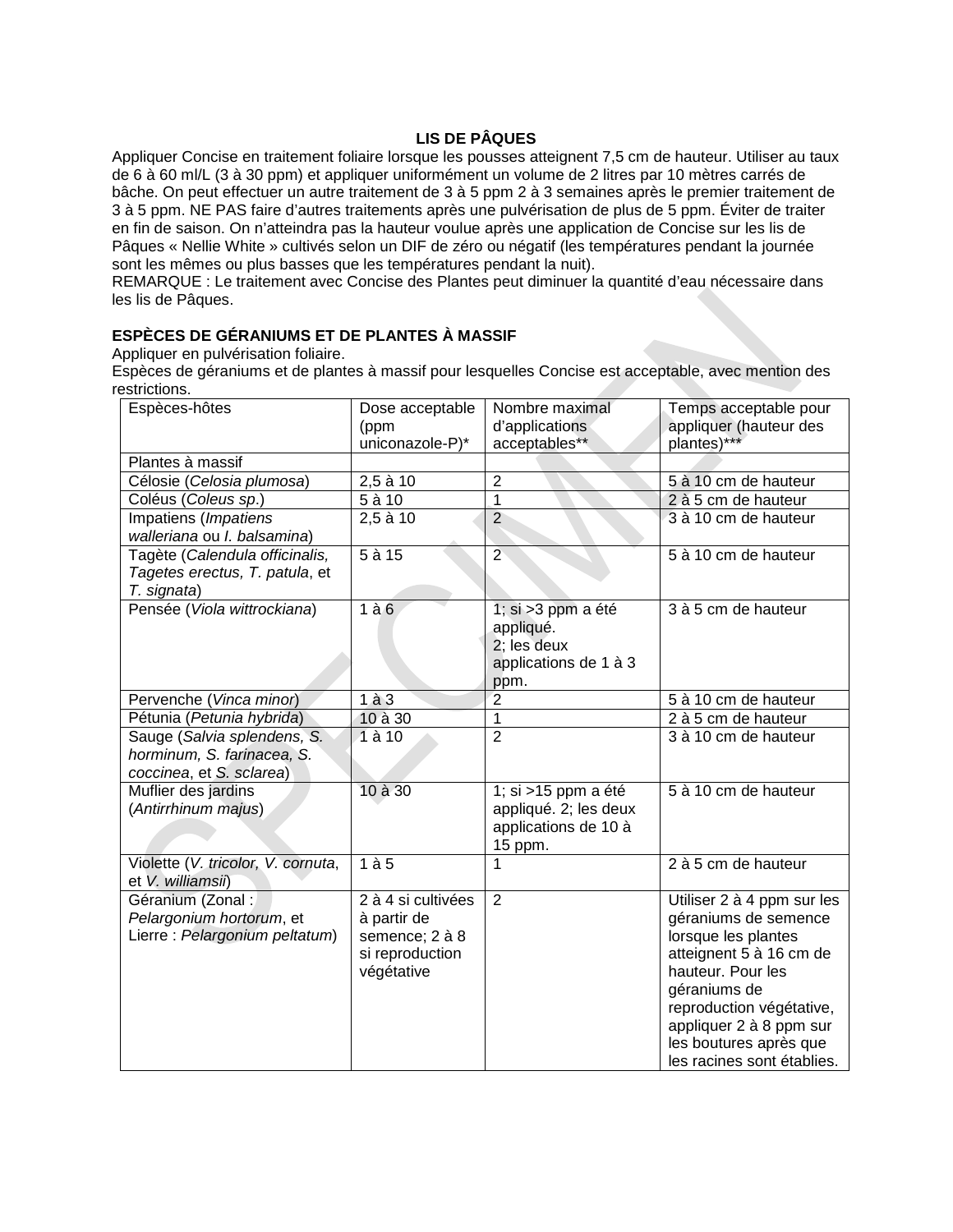# **LIS DE PÂQUES**

Appliquer Concise en traitement foliaire lorsque les pousses atteignent 7,5 cm de hauteur. Utiliser au taux de 6 à 60 ml/L (3 à 30 ppm) et appliquer uniformément un volume de 2 litres par 10 mètres carrés de bâche. On peut effectuer un autre traitement de 3 à 5 ppm 2 à 3 semaines après le premier traitement de 3 à 5 ppm. NE PAS faire d'autres traitements après une pulvérisation de plus de 5 ppm. Éviter de traiter en fin de saison. On n'atteindra pas la hauteur voulue après une application de Concise sur les lis de Pâques « Nellie White » cultivés selon un DIF de zéro ou négatif (les températures pendant la journée sont les mêmes ou plus basses que les températures pendant la nuit).

REMARQUE : Le traitement avec Concise des Plantes peut diminuer la quantité d'eau nécessaire dans les lis de Pâques.

# **ESPÈCES DE GÉRANIUMS ET DE PLANTES À MASSIF**

Appliquer en pulvérisation foliaire.

Espèces de géraniums et de plantes à massif pour lesquelles Concise est acceptable, avec mention des restrictions.

| Espèces-hôtes                                                                         | Dose acceptable<br>(ppm<br>uniconazole-P)*                                           | Nombre maximal<br>d'applications<br>acceptables**                                | Temps acceptable pour<br>appliquer (hauteur des<br>plantes)***                                                                                                                                                                                           |
|---------------------------------------------------------------------------------------|--------------------------------------------------------------------------------------|----------------------------------------------------------------------------------|----------------------------------------------------------------------------------------------------------------------------------------------------------------------------------------------------------------------------------------------------------|
| Plantes à massif                                                                      |                                                                                      |                                                                                  |                                                                                                                                                                                                                                                          |
| Célosie (Celosia plumosa)                                                             | $2,5$ à 10                                                                           | $\overline{2}$                                                                   | 5 à 10 cm de hauteur                                                                                                                                                                                                                                     |
| Coléus (Coleus sp.)                                                                   | $\overline{5a10}$                                                                    | 1                                                                                | 2 à 5 cm de hauteur                                                                                                                                                                                                                                      |
| Impatiens (Impatiens<br>walleriana ou I. balsamina)                                   | $2,5$ à 10                                                                           | $\overline{2}$                                                                   | 3 à 10 cm de hauteur                                                                                                                                                                                                                                     |
| Tagète (Calendula officinalis,<br>Tagetes erectus, T. patula, et<br>T. signata)       | $5$ à $15$                                                                           | $\overline{2}$                                                                   | 5 à 10 cm de hauteur                                                                                                                                                                                                                                     |
| Pensée (Viola wittrockiana)                                                           | 1à6                                                                                  | 1; si > 3 ppm a été<br>appliqué.<br>2; les deux<br>applications de 1 à 3<br>ppm. | 3 à 5 cm de hauteur                                                                                                                                                                                                                                      |
| Pervenche (Vinca minor)                                                               | $1\land 3$                                                                           | $\overline{2}$                                                                   | 5 à 10 cm de hauteur                                                                                                                                                                                                                                     |
| Pétunia (Petunia hybrida)                                                             | 10 à 30                                                                              | $\mathbf 1$                                                                      | 2 à 5 cm de hauteur                                                                                                                                                                                                                                      |
| Sauge (Salvia splendens, S.<br>horminum, S. farinacea, S.<br>coccinea, et S. sclarea) | $\overline{1}$ à 10                                                                  | $\overline{2}$                                                                   | 3 à 10 cm de hauteur                                                                                                                                                                                                                                     |
| Muflier des jardins<br>(Antirrhinum majus)                                            | 10 à 30                                                                              | 1; si >15 ppm a été<br>appliqué. 2; les deux<br>applications de 10 à<br>15 ppm.  | 5 à 10 cm de hauteur                                                                                                                                                                                                                                     |
| Violette (V. tricolor, V. cornuta,<br>et V. williamsii)                               | 1à <sub>5</sub>                                                                      | 1                                                                                | 2 à 5 cm de hauteur                                                                                                                                                                                                                                      |
| Géranium (Zonal:<br>Pelargonium hortorum, et<br>Lierre: Pelargonium peltatum)         | 2 à 4 si cultivées<br>à partir de<br>semence; 2 à 8<br>si reproduction<br>végétative | $\overline{2}$                                                                   | Utiliser 2 à 4 ppm sur les<br>géraniums de semence<br>lorsque les plantes<br>atteignent 5 à 16 cm de<br>hauteur. Pour les<br>géraniums de<br>reproduction végétative,<br>appliquer 2 à 8 ppm sur<br>les boutures après que<br>les racines sont établies. |